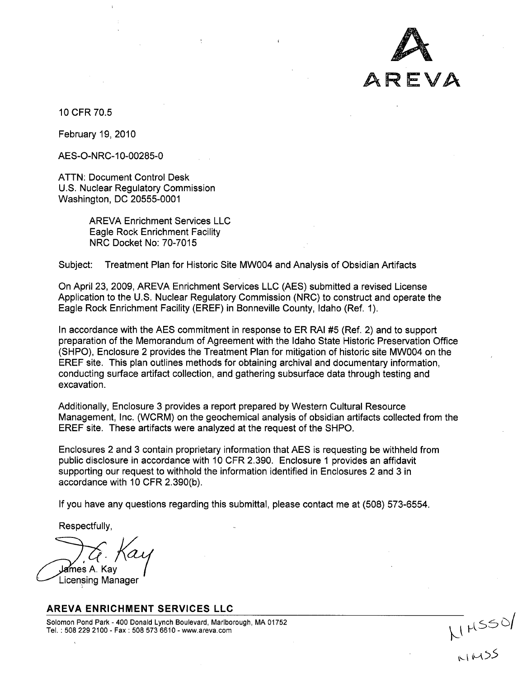

10 CFR 70.5

February 19, 2010

AES-O-NRC-10-00285-0

ATTN: Document Control Desk U.S. Nuclear Regulatory Commission Washington, DC 20555-0001

> AREVA Enrichment Services LLC Eagle Rock Enrichment Facility NRC Docket No: 70-7015

Subject: Treatment Plan for Historic Site MWO04 and Analysis of Obsidian Artifacts

On April 23, 2009, AREVA Enrichment Services LLC (AES) submitted a revised License Application to the U.S. Nuclear Regulatory Commission (NRC) to construct and operate the Eagle Rock Enrichment Facility (EREF) in Bonneville County, Idaho (Ref. 1).

In accordance with the AES commitment in response to ER RAI #5 (Ref. 2) and to support preparation of the Memorandum of Agreement with the Idaho State Historic Preservation Office (SHPO), Enclosure 2 provides the Treatment Plan for mitigation of historic site MWO04 on the EREF site. This plan outlines methods for obtaining archival and documentary information, conducting surface artifact collection, and gathering subsurface data through testing and excavation.

Additionally, Enclosure 3 provides a report prepared by Western Cultural Resource Management, Inc. (WCRM) on the geochemical analysis of obsidian artifacts collected from the EREF site. These artifacts were analyzed at the request of the SHPO.

Enclosures 2 and 3 contain proprietary information that AES is requesting be withheld from public disclosure in accordance with 10 CFR 2.390. Enclosure **1** provides an affidavit supporting our request to withhold the information identified in Enclosures 2 and 3 in accordance with 10 CFR 2.390(b).

If you have any questions regarding this submittal, please contact me at (508) 573-6554.

Respectfully,

**James** A. Kav Licensing Manager

## AREVA **ENRICHMENT SERVICES LLC**

Solomon Pond Park -400 Donald Lynch Boulevard, Marlborough, MA 01752 Tel.: 508 229 2100 - Fax: 508 573 6610 - www.areva.com **killed** Manuson And Communication and the Second of the S<br>**killed** Manuson of the Second Second Second Second Second Second Second Second Second Second Second Second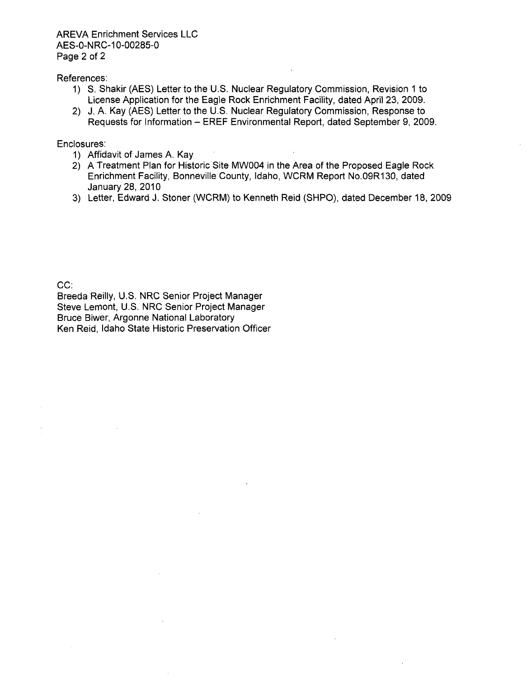AREVA Enrichment Services LLC AES-0-NRC-10-00285-0 Page 2 of 2

References:

- 1) **S.** Shakir (AES) Letter to the U.S. Nuclear Regulatory Commission, Revision **1** to License Application for the Eagle Rock Enrichment Facility, dated April 23, 2009.
- 2) J. A. Kay (AES) Letter to the U.S. Nuclear Regulatory Commission, Response to Requests for Information - EREF Environmental Report, dated September 9, 2009.

Enclosures:

- 1) Affidavit of James A. Kay
- 2) A Treatment Plan for Historic Site MWO04 in the Area of the Proposed Eagle Rock Enrichment Facility, Bonneville County, Idaho, WCRM Report No.09R130, dated January 28, 2010
- 3) Letter, Edward J. Stoner (WCRM) to Kenneth Reid (SHPO), dated December 18, 2009

CC:

Breeda Reilly, U.S. NRC Senior Project Manager Steve Lemont, U.S. NRC Senior Project Manager Bruce Biwer, Argonne National Laboratory Ken Reid, Idaho State Historic Preservation Officer